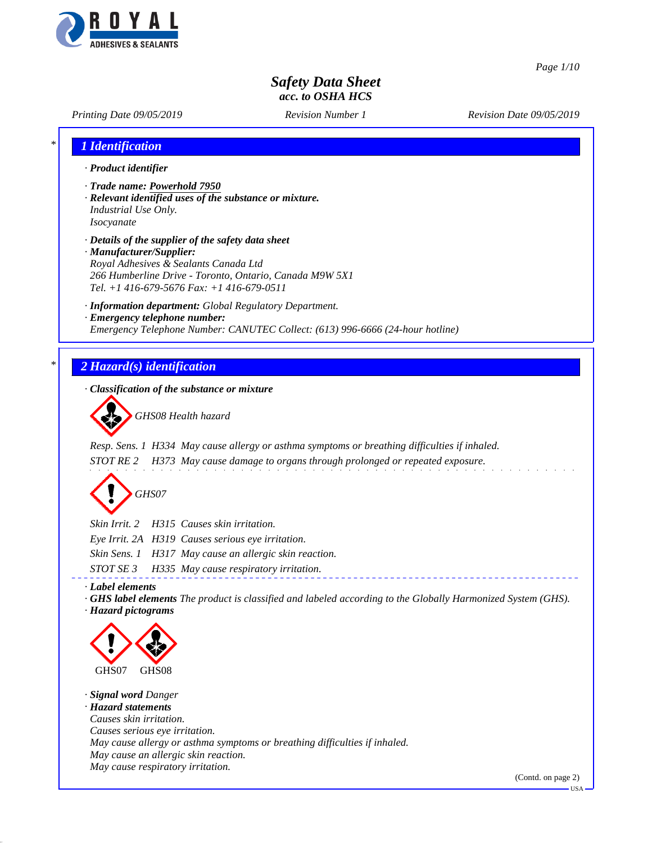

*Page 1/10*

# *Safety Data Sheet acc. to OSHA HCS*

*Printing Date 09/05/2019 Revision Number 1 Revision Date 09/05/2019*

| 1 Identification                                                                                                                                                                                                                |
|---------------------------------------------------------------------------------------------------------------------------------------------------------------------------------------------------------------------------------|
| · Product identifier                                                                                                                                                                                                            |
| · Trade name: Powerhold 7950<br>· Relevant identified uses of the substance or mixture.<br>Industrial Use Only.<br>Isocyanate                                                                                                   |
| · Details of the supplier of the safety data sheet<br>· Manufacturer/Supplier:<br>Royal Adhesives & Sealants Canada Ltd<br>266 Humberline Drive - Toronto, Ontario, Canada M9W 5X1<br>Tel. +1 416-679-5676 Fax: +1 416-679-0511 |
| · Information department: Global Regulatory Department.<br>· Emergency telephone number:<br>Emergency Telephone Number: CANUTEC Collect: (613) 996-6666 (24-hour hotline)                                                       |
| 2 Hazard(s) identification                                                                                                                                                                                                      |
| · Classification of the substance or mixture                                                                                                                                                                                    |
| GHS08 Health hazard                                                                                                                                                                                                             |
| Resp. Sens. 1 H334 May cause allergy or asthma symptoms or breathing difficulties if inhaled.<br>H373 May cause damage to organs through prolonged or repeated exposure.<br>STOT RE 2<br>GHS07                                  |
| Skin Irrit. 2<br>H315 Causes skin irritation.<br>Eye Irrit. 2A H319 Causes serious eye irritation.<br>Skin Sens. 1 H317 May cause an allergic skin reaction.                                                                    |
| STOT SE 3<br>H335 May cause respiratory irritation.<br>· Label elements<br>GHS label elements The product is classified and labeled according to the Globally Harmonized System (GHS).<br>· Hazard pictograms                   |
| GHS07<br>GHS08                                                                                                                                                                                                                  |
| · Signal word Danger<br>· Hazard statements<br>Causes skin irritation.<br>Causes serious eye irritation.<br>May cause allergy or asthma symptoms or breathing difficulties if inhaled.<br>May cause an allergic skin reaction.  |
| May cause respiratory irritation.<br>(Contd. on page 2)<br><b>USA</b>                                                                                                                                                           |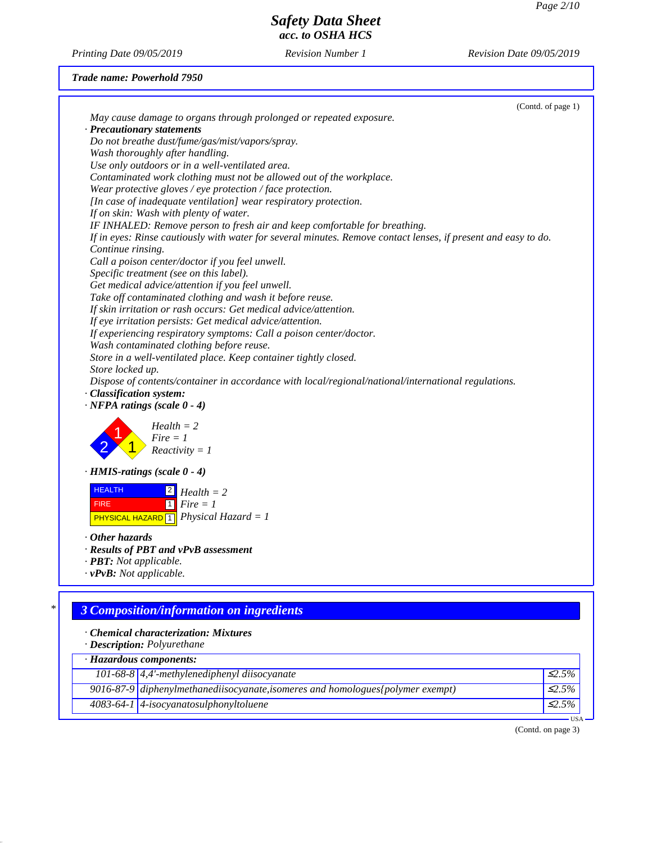*Printing Date 09/05/2019 Revision Number 1 Revision Date 09/05/2019*

#### *Trade name: Powerhold 7950*

|                                                                                                                | (Contd. of page 1) |
|----------------------------------------------------------------------------------------------------------------|--------------------|
| May cause damage to organs through prolonged or repeated exposure.                                             |                    |
| · Precautionary statements                                                                                     |                    |
| Do not breathe dust/fume/gas/mist/vapors/spray.                                                                |                    |
| Wash thoroughly after handling.                                                                                |                    |
| Use only outdoors or in a well-ventilated area.                                                                |                    |
| Contaminated work clothing must not be allowed out of the workplace.                                           |                    |
| Wear protective gloves / eye protection / face protection.                                                     |                    |
| [In case of inadequate ventilation] wear respiratory protection.                                               |                    |
| If on skin: Wash with plenty of water.                                                                         |                    |
| IF INHALED: Remove person to fresh air and keep comfortable for breathing.                                     |                    |
| If in eyes: Rinse cautiously with water for several minutes. Remove contact lenses, if present and easy to do. |                    |
| Continue rinsing.                                                                                              |                    |
| Call a poison center/doctor if you feel unwell.                                                                |                    |
| Specific treatment (see on this label).                                                                        |                    |
| Get medical advice/attention if you feel unwell.                                                               |                    |
| Take off contaminated clothing and wash it before reuse.                                                       |                    |
| If skin irritation or rash occurs: Get medical advice/attention.                                               |                    |
| If eye irritation persists: Get medical advice/attention.                                                      |                    |
| If experiencing respiratory symptoms: Call a poison center/doctor.                                             |                    |
| Wash contaminated clothing before reuse.                                                                       |                    |
| Store in a well-ventilated place. Keep container tightly closed.                                               |                    |
| Store locked up.                                                                                               |                    |
| Dispose of contents/container in accordance with local/regional/national/international regulations.            |                    |
| · Classification system:                                                                                       |                    |
| $\cdot$ NFPA ratings (scale 0 - 4)                                                                             |                    |
| $Health = 2$                                                                                                   |                    |
| $Fire = 1$                                                                                                     |                    |
| $Reactivity = 1$                                                                                               |                    |
|                                                                                                                |                    |
| $\cdot$ HMIS-ratings (scale 0 - 4)                                                                             |                    |
| <b>HEALTH</b><br>$\boxed{2}$ Health = 2                                                                        |                    |
| $\lceil 1 \rceil$ Fire = 1<br><b>FIRE</b>                                                                      |                    |
| <b>PHYSICAL HAZARD</b> 1 <i>Physical Hazard</i> = 1                                                            |                    |
|                                                                                                                |                    |
| $\cdot$ Other hazards                                                                                          |                    |
| · Results of PBT and vPvB assessment                                                                           |                    |
| · <b>PBT</b> : Not applicable.                                                                                 |                    |
| $\cdot$ <b>vPvB:</b> Not applicable.                                                                           |                    |
|                                                                                                                |                    |
| <b>3 Composition/information on ingredients</b>                                                                |                    |
|                                                                                                                |                    |
| · Chemical characterization: Mixtures                                                                          |                    |
| · Description: Polyurethane                                                                                    |                    |
| · Hazardous components:                                                                                        |                    |
| 101-68-8 $\vert$ 4,4'-methylenediphenyl diisocyanate                                                           | $\mathcal{L}$ .5%  |
| 9016-87-9 diphenylmethanediisocyanate, isomeres and homologues {polymer exempt}                                | $\mathcal{L}2.5\%$ |

*4083-64-1 4-isocyanatosulphonyltoluene* ≤*2.5%*

(Contd. on page 3)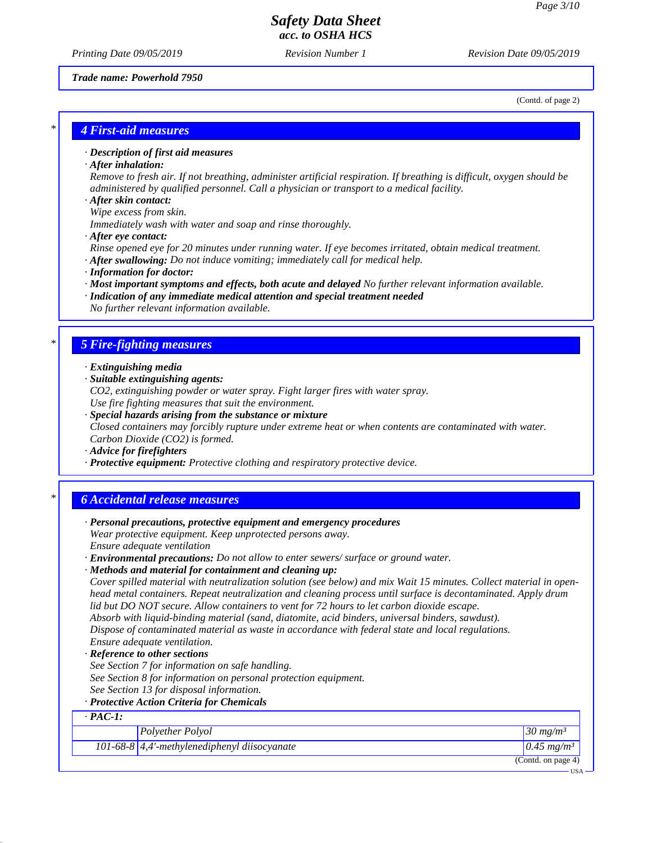*Printing Date 09/05/2019 Revision Number 1 Revision Date 09/05/2019*

*Trade name: Powerhold 7950*

(Contd. of page 2)

#### *\* 4 First-aid measures*

### *· Description of first aid measures*

*· After inhalation:*

*Remove to fresh air. If not breathing, administer artificial respiration. If breathing is difficult, oxygen should be administered by qualified personnel. Call a physician or transport to a medical facility.*

*· After skin contact:*

*Wipe excess from skin. Immediately wash with water and soap and rinse thoroughly.*

*· After eye contact:*

*Rinse opened eye for 20 minutes under running water. If eye becomes irritated, obtain medical treatment. · After swallowing: Do not induce vomiting; immediately call for medical help.*

- *· Information for doctor:*
- *· Most important symptoms and effects, both acute and delayed No further relevant information available.*
- *· Indication of any immediate medical attention and special treatment needed No further relevant information available.*

### *\* 5 Fire-fighting measures*

- *· Extinguishing media*
- *· Suitable extinguishing agents:*
- *CO2, extinguishing powder or water spray. Fight larger fires with water spray.*
- *Use fire fighting measures that suit the environment.*
- *· Special hazards arising from the substance or mixture Closed containers may forcibly rupture under extreme heat or when contents are contaminated with water. Carbon Dioxide (CO2) is formed.*
- *· Advice for firefighters*
- *· Protective equipment: Protective clothing and respiratory protective device.*

### *\* 6 Accidental release measures*

| · Personal precautions, protective equipment and emergency procedures                                              |                          |
|--------------------------------------------------------------------------------------------------------------------|--------------------------|
| Wear protective equipment. Keep unprotected persons away.                                                          |                          |
| Ensure adequate ventilation                                                                                        |                          |
| · <b>Environmental precautions:</b> Do not allow to enter sewers/ surface or ground water.                         |                          |
| · Methods and material for containment and cleaning up:                                                            |                          |
| Cover spilled material with neutralization solution (see below) and mix Wait 15 minutes. Collect material in open- |                          |
| head metal containers. Repeat neutralization and cleaning process until surface is decontaminated. Apply drum      |                          |
| lid but DO NOT secure. Allow containers to vent for 72 hours to let carbon dioxide escape.                         |                          |
| Absorb with liquid-binding material (sand, diatomite, acid binders, universal binders, sawdust).                   |                          |
| Dispose of contaminated material as waste in accordance with federal state and local regulations.                  |                          |
| Ensure adequate ventilation.                                                                                       |                          |
| · Reference to other sections                                                                                      |                          |
| See Section 7 for information on safe handling.                                                                    |                          |
| See Section 8 for information on personal protection equipment.                                                    |                          |
| See Section 13 for disposal information.                                                                           |                          |
| · Protective Action Criteria for Chemicals                                                                         |                          |
| $\cdot$ PAC-1:                                                                                                     |                          |
| Polyether Polyol                                                                                                   | $30 \ mg/m^3$            |
| 101-68-8 $\vert$ 4,4'-methylenediphenyl diisocyanate                                                               | $0.45$ mg/m <sup>3</sup> |
|                                                                                                                    | (Contd. on page $4$ )    |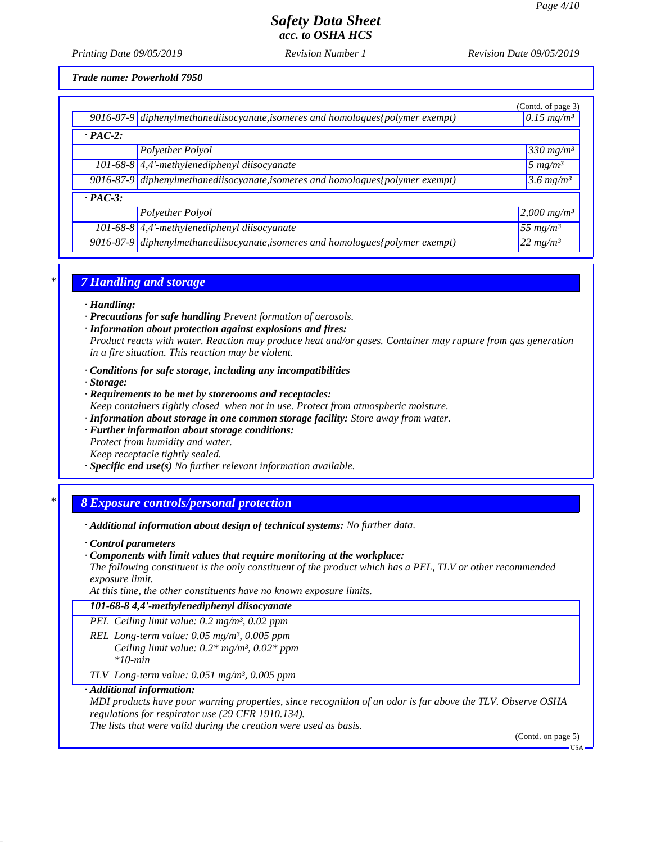*Printing Date 09/05/2019 Revision Number 1 Revision Date 09/05/2019*

*Trade name: Powerhold 7950*

|                |                                                                                 | (Contd. of page 3)              |
|----------------|---------------------------------------------------------------------------------|---------------------------------|
|                | 9016-87-9 diphenylmethanediisocyanate, isomeres and homologues (polymer exempt) | $\sqrt{0.15}$ mg/m <sup>3</sup> |
| $\cdot$ PAC-2: |                                                                                 |                                 |
|                | Polyether Polyol                                                                | $330$ mg/m <sup>3</sup>         |
|                | 101-68-8 $\left $ 4,4'-methylenediphenyl diisocyanate                           | $5 \, mg/m^3$                   |
|                | 9016-87-9 diphenylmethanediisocyanate, isomeres and homologues (polymer exempt) | $3.6 \, mg/m^3$                 |
| $\cdot$ PAC-3: |                                                                                 |                                 |
|                | Polyether Polyol                                                                | $2,000$ mg/m <sup>3</sup>       |
|                | 101-68-8 $\left $ 4,4'-methylenediphenyl diisocyanate                           | 55 mg/m <sup>3</sup>            |
|                | 9016-87-9 diphenylmethanediisocyanate, isomeres and homologues (polymer exempt) | $122 mg/m^3$                    |

# *\* 7 Handling and storage*

#### *· Handling:*

- *· Precautions for safe handling Prevent formation of aerosols.*
- *· Information about protection against explosions and fires:*

*Product reacts with water. Reaction may produce heat and/or gases. Container may rupture from gas generation in a fire situation. This reaction may be violent.*

- *· Conditions for safe storage, including any incompatibilities*
- *· Storage:*
- *· Requirements to be met by storerooms and receptacles: Keep containers tightly closed when not in use. Protect from atmospheric moisture.*
- *· Information about storage in one common storage facility: Store away from water.*
- *· Further information about storage conditions:*

*Protect from humidity and water. Keep receptacle tightly sealed.*

*· Specific end use(s) No further relevant information available.*

#### *\* 8 Exposure controls/personal protection*

*· Additional information about design of technical systems: No further data.*

- *· Control parameters*
- *· Components with limit values that require monitoring at the workplace:*

*The following constituent is the only constituent of the product which has a PEL, TLV or other recommended exposure limit.*

*At this time, the other constituents have no known exposure limits.*

| 101-68-8 4,4'-methylenediphenyl diisocyanate                  |
|---------------------------------------------------------------|
| PEL Ceiling limit value: $0.2$ mg/m <sup>3</sup> , $0.02$ ppm |

- *REL Long-term value: 0.05 mg/m³, 0.005 ppm Ceiling limit value: 0.2\* mg/m³, 0.02\* ppm \*10-min*
- *TLV Long-term value: 0.051 mg/m³, 0.005 ppm*

#### *· Additional information:*

*MDI products have poor warning properties, since recognition of an odor is far above the TLV. Observe OSHA regulations for respirator use (29 CFR 1910.134).*

*The lists that were valid during the creation were used as basis.*

(Contd. on page 5)

USA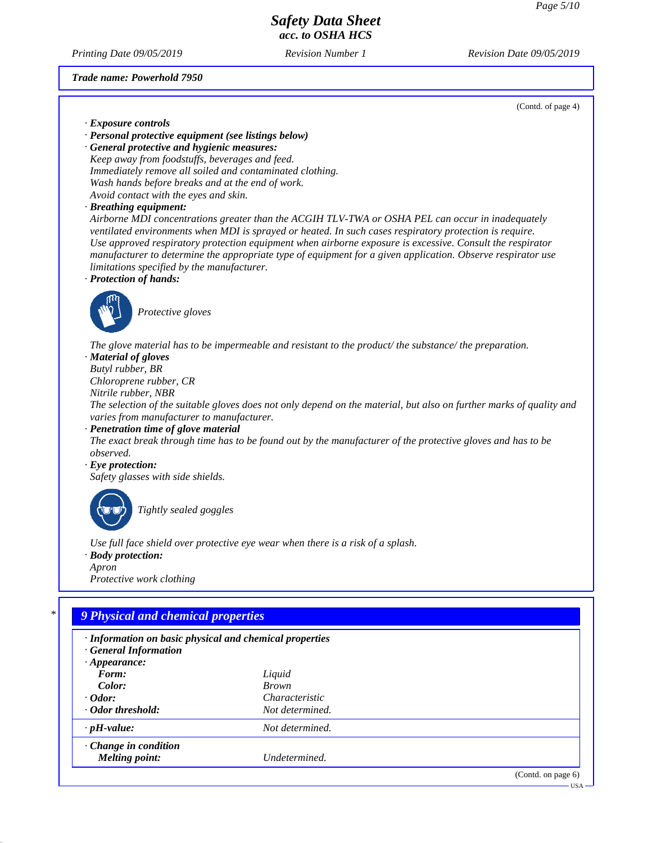*Printing Date 09/05/2019 Revision Number 1 Revision Date 09/05/2019*

*Trade name: Powerhold 7950*

(Contd. of page 4)

*· Exposure controls*

*· Personal protective equipment (see listings below)*

*· General protective and hygienic measures: Keep away from foodstuffs, beverages and feed. Immediately remove all soiled and contaminated clothing. Wash hands before breaks and at the end of work. Avoid contact with the eyes and skin.*

*· Breathing equipment:*

*Airborne MDI concentrations greater than the ACGIH TLV-TWA or OSHA PEL can occur in inadequately ventilated environments when MDI is sprayed or heated. In such cases respiratory protection is require. Use approved respiratory protection equipment when airborne exposure is excessive. Consult the respirator manufacturer to determine the appropriate type of equipment for a given application. Observe respirator use limitations specified by the manufacturer.*

*· Protection of hands:*



*Protective gloves*

*The glove material has to be impermeable and resistant to the product/ the substance/ the preparation.*

*· Material of gloves*

*Butyl rubber, BR Chloroprene rubber, CR Nitrile rubber, NBR The selection of the suitable gloves does not only depend on the material, but also on further marks of quality and*

*varies from manufacturer to manufacturer. · Penetration time of glove material*

*The exact break through time has to be found out by the manufacturer of the protective gloves and has to be observed.*

#### *· Eye protection:*

*Safety glasses with side shields.*



*Tightly sealed goggles*

*Use full face shield over protective eye wear when there is a risk of a splash.*

*· Body protection: Apron*

*Protective work clothing*

# *\* 9 Physical and chemical properties*

| · Information on basic physical and chemical properties<br><b>General Information</b><br>$\cdot$ Appearance: |                 |                    |
|--------------------------------------------------------------------------------------------------------------|-----------------|--------------------|
| Form:                                                                                                        | Liquid          |                    |
| Color:                                                                                                       | <b>Brown</b>    |                    |
| $\cdot$ Odor:                                                                                                | Characteristic  |                    |
| ⋅ Odor threshold:                                                                                            | Not determined. |                    |
| $\cdot$ pH-value:                                                                                            | Not determined. |                    |
| $\cdot$ Change in condition                                                                                  |                 |                    |
| <b>Melting point:</b>                                                                                        | Undetermined.   |                    |
|                                                                                                              |                 | (Contd. on page 6) |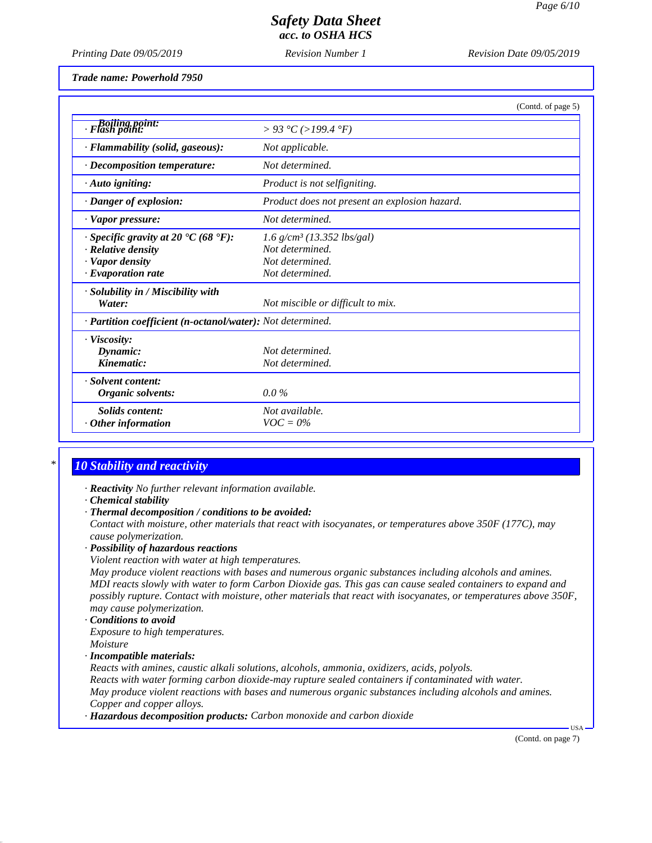*Printing Date 09/05/2019 Revision Number 1 Revision Date 09/05/2019*

*Trade name: Powerhold 7950*

|                                                                                                                       | (Contd. of page 5)                                                                                |
|-----------------------------------------------------------------------------------------------------------------------|---------------------------------------------------------------------------------------------------|
| Flash point:<br>Flash point:                                                                                          | > 93 °C (>199.4 °F)                                                                               |
| · Flammability (solid, gaseous):                                                                                      | Not applicable.                                                                                   |
| $\cdot$ Decomposition temperature:                                                                                    | Not determined.                                                                                   |
| $\cdot$ Auto igniting:                                                                                                | Product is not selfigniting.                                                                      |
| · Danger of explosion:                                                                                                | Product does not present an explosion hazard.                                                     |
| $\cdot$ Vapor pressure:                                                                                               | Not determined.                                                                                   |
| $\cdot$ Specific gravity at 20 °C (68 °F):<br>$\cdot$ Relative density<br>· Vapor density<br>$\cdot$ Evaporation rate | $1.6$ g/cm <sup>3</sup> (13.352 lbs/gal)<br>Not determined.<br>Not determined.<br>Not determined. |
| $\cdot$ Solubility in / Miscibility with<br>Water:                                                                    | Not miscible or difficult to mix.                                                                 |
| · Partition coefficient (n-octanol/water): Not determined.                                                            |                                                                                                   |
| $\cdot$ Viscosity:<br>Dynamic:<br>Kinematic:                                                                          | Not determined.<br>Not determined.                                                                |
| · Solvent content:<br>Organic solvents:                                                                               | $0.0\%$                                                                                           |
| <b>Solids content:</b><br>$\cdot$ Other information                                                                   | Not available.<br>$VOC = 0\%$                                                                     |

# *\* 10 Stability and reactivity*

- *· Reactivity No further relevant information available.*
- *· Chemical stability*
- *· Thermal decomposition / conditions to be avoided:*

*Contact with moisture, other materials that react with isocyanates, or temperatures above 350F (177C), may cause polymerization.*

- *· Possibility of hazardous reactions*
- *Violent reaction with water at high temperatures.*

*May produce violent reactions with bases and numerous organic substances including alcohols and amines. MDI reacts slowly with water to form Carbon Dioxide gas. This gas can cause sealed containers to expand and possibly rupture. Contact with moisture, other materials that react with isocyanates, or temperatures above 350F, may cause polymerization.*

*· Conditions to avoid Exposure to high temperatures. Moisture*

*· Incompatible materials:*

*Reacts with amines, caustic alkali solutions, alcohols, ammonia, oxidizers, acids, polyols. Reacts with water forming carbon dioxide-may rupture sealed containers if contaminated with water. May produce violent reactions with bases and numerous organic substances including alcohols and amines. Copper and copper alloys.*

*· Hazardous decomposition products: Carbon monoxide and carbon dioxide*

(Contd. on page 7)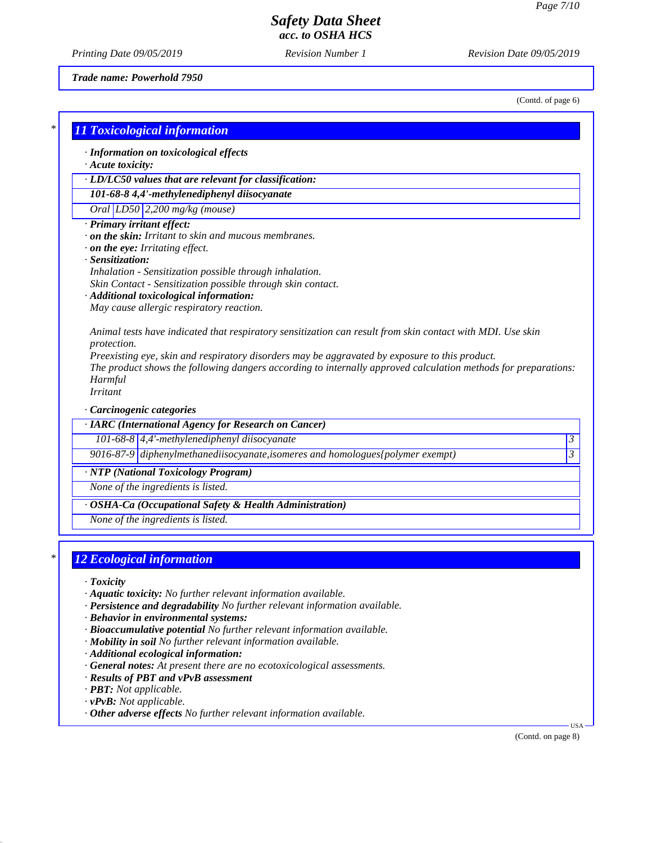*Printing Date 09/05/2019 Revision Number 1 Revision Date 09/05/2019*

*Trade name: Powerhold 7950*

(Contd. of page 6)

### *\* 11 Toxicological information*

*· Information on toxicological effects*

*· Acute toxicity:*

*· LD/LC50 values that are relevant for classification:*

*101-68-8 4,4'-methylenediphenyl diisocyanate*

*Oral LD50 2,200 mg/kg (mouse)*

- *· Primary irritant effect:*
- *· on the skin: Irritant to skin and mucous membranes.*
- *· on the eye: Irritating effect.*
- *· Sensitization:*
- *Inhalation Sensitization possible through inhalation.*
- *Skin Contact Sensitization possible through skin contact.*

#### *· Additional toxicological information:*

*May cause allergic respiratory reaction.*

*Animal tests have indicated that respiratory sensitization can result from skin contact with MDI. Use skin protection.*

*Preexisting eye, skin and respiratory disorders may be aggravated by exposure to this product. The product shows the following dangers according to internally approved calculation methods for preparations: Harmful Irritant*

*· Carcinogenic categories*

*· IARC (International Agency for Research on Cancer)*

*101-68-8 4,4'-methylenediphenyl diisocyanate 3* 

*9016-87-9 diphenylmethanediisocyanate,isomeres and homologues{polymer exempt) 3* 

*· NTP (National Toxicology Program)*

*None of the ingredients is listed.*

*· OSHA-Ca (Occupational Safety & Health Administration)*

*None of the ingredients is listed.*

#### *\* 12 Ecological information*

- *· Toxicity*
- *· Aquatic toxicity: No further relevant information available.*
- *· Persistence and degradability No further relevant information available.*
- *· Behavior in environmental systems:*
- *· Bioaccumulative potential No further relevant information available.*
- *· Mobility in soil No further relevant information available.*
- *· Additional ecological information:*
- *· General notes: At present there are no ecotoxicological assessments.*
- *· Results of PBT and vPvB assessment*
- *· PBT: Not applicable.*
- *· vPvB: Not applicable.*
- *· Other adverse effects No further relevant information available.*

(Contd. on page 8)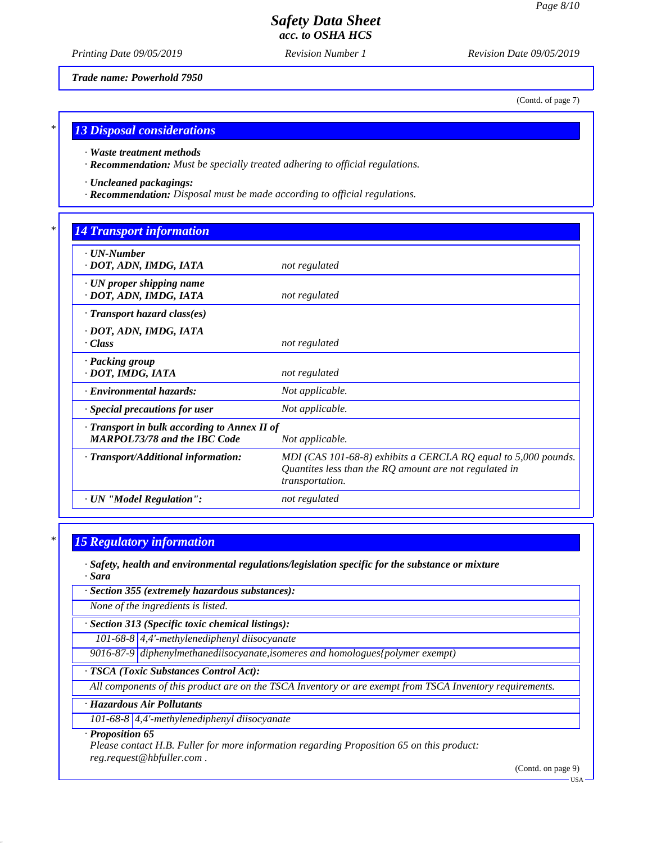(Contd. of page 7)

# *Safety Data Sheet acc. to OSHA HCS*

*Printing Date 09/05/2019 Revision Number 1 Revision Date 09/05/2019*

*Trade name: Powerhold 7950*

*\* 13 Disposal considerations*

*· Waste treatment methods*

*· Recommendation: Must be specially treated adhering to official regulations.*

*· Uncleaned packagings:*

*· Recommendation: Disposal must be made according to official regulations.*

### *\* 14 Transport information*

| $\cdot$ UN-Number<br>· DOT, ADN, IMDG, IATA                                         | not regulated                                                                                                                                 |
|-------------------------------------------------------------------------------------|-----------------------------------------------------------------------------------------------------------------------------------------------|
| $\cdot$ UN proper shipping name<br>· DOT, ADN, IMDG, IATA                           | not regulated                                                                                                                                 |
| $\cdot$ Transport hazard class(es)                                                  |                                                                                                                                               |
| · DOT, ADN, IMDG, IATA<br>· Class                                                   | not regulated                                                                                                                                 |
| · Packing group<br>· DOT, IMDG, IATA                                                | not regulated                                                                                                                                 |
| · Environmental hazards:                                                            | Not applicable.                                                                                                                               |
| Special precautions for user                                                        | Not applicable.                                                                                                                               |
| · Transport in bulk according to Annex II of<br><b>MARPOL73/78 and the IBC Code</b> | Not applicable.                                                                                                                               |
| · Transport/Additional information:                                                 | MDI (CAS 101-68-8) exhibits a CERCLA RQ equal to 5,000 pounds.<br>Quantites less than the $RQ$ amount are not regulated in<br>transportation. |
| · UN "Model Regulation":                                                            | not regulated                                                                                                                                 |

#### *\* 15 Regulatory information*

*· Safety, health and environmental regulations/legislation specific for the substance or mixture · Sara*

*· Section 355 (extremely hazardous substances):*

*None of the ingredients is listed.*

*· Section 313 (Specific toxic chemical listings):*

*101-68-8 4,4'-methylenediphenyl diisocyanate*

*9016-87-9 diphenylmethanediisocyanate,isomeres and homologues{polymer exempt)*

*· TSCA (Toxic Substances Control Act):*

*All components of this product are on the TSCA Inventory or are exempt from TSCA Inventory requirements.*

#### *· Hazardous Air Pollutants*

*101-68-8 4,4'-methylenediphenyl diisocyanate*

*· Proposition 65*

*Please contact H.B. Fuller for more information regarding Proposition 65 on this product: reg.request@hbfuller.com .*

(Contd. on page 9)

USA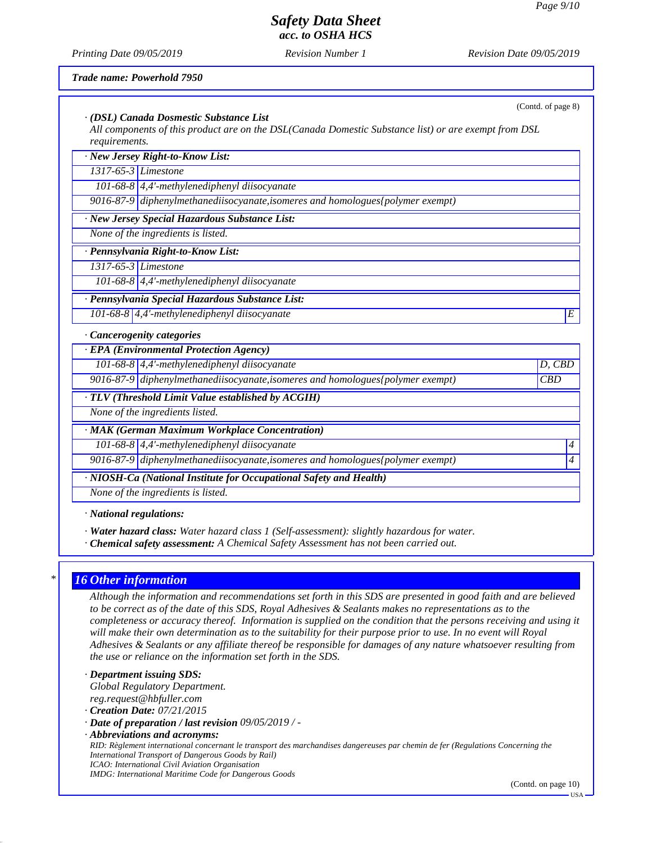(Contd. of page 8)

# *Safety Data Sheet acc. to OSHA HCS*

*Printing Date 09/05/2019 Revision Number 1 Revision Date 09/05/2019*

*Trade name: Powerhold 7950*

| · (DSL) Canada Dosmestic Substance List<br>All components of this product are on the DSL(Canada Domestic Substance list) or are exempt from DSL |        |
|-------------------------------------------------------------------------------------------------------------------------------------------------|--------|
| requirements.                                                                                                                                   |        |
| · New Jersey Right-to-Know List:                                                                                                                |        |
| 1317-65-3 Limestone                                                                                                                             |        |
| 101-68-8 $\vert$ 4,4'-methylenediphenyl diisocyanate                                                                                            |        |
| 9016-87-9 diphenylmethanediisocyanate, isomeres and homologues {polymer exempt)                                                                 |        |
| · New Jersey Special Hazardous Substance List:                                                                                                  |        |
| None of the ingredients is listed.                                                                                                              |        |
| · Pennsylvania Right-to-Know List:                                                                                                              |        |
| 1317-65-3 Limestone                                                                                                                             |        |
| 101-68-8 $\vert$ 4,4'-methylenediphenyl diisocyanate                                                                                            |        |
| · Pennsylvania Special Hazardous Substance List:                                                                                                |        |
| 101-68-8 $ 4,4'$ -methylenediphenyl diisocyanate                                                                                                | E      |
| Cancerogenity categories                                                                                                                        |        |
| · EPA (Environmental Protection Agency)                                                                                                         |        |
| 101-68-8 4,4'-methylenediphenyl diisocyanate                                                                                                    | D, CBD |
| 9016-87-9 diphenylmethanediisocyanate, isomeres and homologues {polymer exempt}                                                                 | CBD    |
| · TLV (Threshold Limit Value established by ACGIH)                                                                                              |        |
| None of the ingredients listed.                                                                                                                 |        |
|                                                                                                                                                 |        |

*· MAK (German Maximum Workplace Concentration)*

*101-68-8 4,4'-methylenediphenyl diisocyanate 4* 

*9016-87-9 diphenylmethanediisocyanate,isomeres and homologues{polymer exempt) 4* 

*· NIOSH-Ca (National Institute for Occupational Safety and Health)*

*None of the ingredients is listed.*

*· National regulations:*

- *· Water hazard class: Water hazard class 1 (Self-assessment): slightly hazardous for water.*
- *· Chemical safety assessment: A Chemical Safety Assessment has not been carried out.*

#### *\* 16 Other information*

*Although the information and recommendations set forth in this SDS are presented in good faith and are believed to be correct as of the date of this SDS, Royal Adhesives & Sealants makes no representations as to the completeness or accuracy thereof. Information is supplied on the condition that the persons receiving and using it will make their own determination as to the suitability for their purpose prior to use. In no event will Royal Adhesives & Sealants or any affiliate thereof be responsible for damages of any nature whatsoever resulting from the use or reliance on the information set forth in the SDS.*

- *· Department issuing SDS: Global Regulatory Department. reg.request@hbfuller.com*
- *· Creation Date: 07/21/2015*
- *· Date of preparation / last revision 09/05/2019 / -*
- *· Abbreviations and acronyms:*

*RID: Règlement international concernant le transport des marchandises dangereuses par chemin de fer (Regulations Concerning the International Transport of Dangerous Goods by Rail) ICAO: International Civil Aviation Organisation IMDG: International Maritime Code for Dangerous Goods*

(Contd. on page 10)